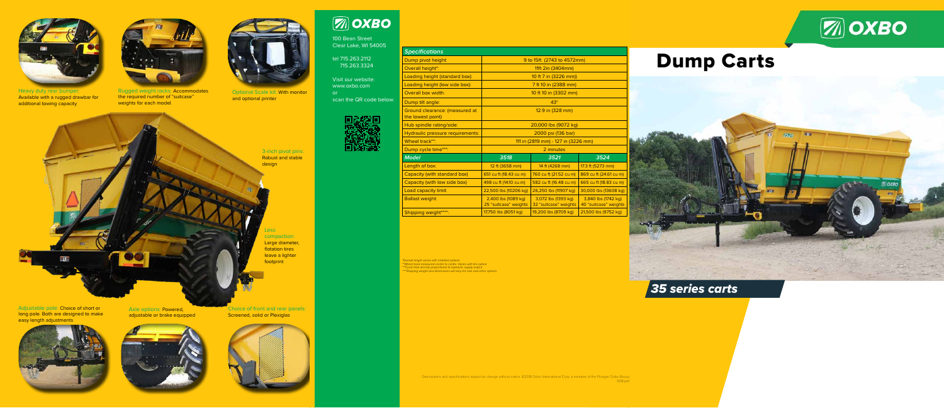Less compaction: Large diameter, flotation tires leave a lighter footprint

Adjustable pole: Choice of short or long pole. Both are designed to make easy length adjustments



Choice of front and rear panels: **Screened, solid or Plexiglas** 



# **ZOXBO**



Heavy duty rear bumper: Available with a rugged drawbar for additional towing capacity

3-inch pivot pins: Robust and stable design

Axle options: Powered, adjustable or brake equipped



# Dump Carts



100 Bean Street Clear Lake, WI 54005

tel 715.263.2112 715.263.3324

Visit our website: www.oxbo.com or scan the QR code below:



Dump pivot height: Overall height\*: Loading height (standard Loading height (low side b Overall box width: Dump tilt angle: Ground clearance: (measu the lowest point) Hub spindle rating/side: Hydraulic pressure require Wheel track\*\*: Dump cycle time\*\*\*: Length of box: Capacity (with standard b Capacity (with low side bo Load capacity limit: **Ballast weight:** Shipping weight\*\*\*\*:

**Specifications**

| opechicuuono                                        |                                              |                                              |                                              |
|-----------------------------------------------------|----------------------------------------------|----------------------------------------------|----------------------------------------------|
| Dump pivot height:                                  | 9 to 15ft (2743 to 4572mm)                   |                                              |                                              |
| Overall height*:                                    | 11ft 2in (3404mm)                            |                                              |                                              |
| Loading height (standard box):                      | 10 ft 7 in (3226 mm))                        |                                              |                                              |
| Loading height (low side box):                      | 7 ft 10 in (2388 mm)                         |                                              |                                              |
| Overall box width:                                  | 10 ft 10 in (3302 mm)                        |                                              |                                              |
| Dump tilt angle:                                    | $43^\circ$                                   |                                              |                                              |
| Ground clearance: (measured at<br>the lowest point) | 12.9 in (328 mm)                             |                                              |                                              |
| Hub spindle rating/side:                            | 20,000 lbs (9072 kg)                         |                                              |                                              |
| Hydraulic pressure requirements:                    | 2000 psi (136 bar)                           |                                              |                                              |
| Wheel track**:                                      | 111 in (2819 mm) - 127 in (3226 mm)          |                                              |                                              |
| Dump cycle time***:                                 | 2 minutes                                    |                                              |                                              |
| <b>Model</b>                                        | 3518                                         | 3521                                         | 3524                                         |
| Length of box:                                      | 12 ft (3658 mm)                              | 14 ft (4268 mm)                              | 17.3 ft (5273 mm)                            |
| Capacity (with standard box)                        | 651 cu ft (18.43 cu m)                       | 760 cu ft (21.52 cu m)                       | 869 cu ft (24.61 cu m)                       |
| Capacity (with low side box)                        | 498 cu ft (14.10 cu m)                       | 582 cu ft (16.48 cu m)                       | 665 cu ft (18.83 cu m)                       |
| Load capacity limit:                                | 22,500 lbs (10206 kg)                        | 26,250 lbs (11907 kg)                        | 30,000 lbs (13608 kg)                        |
| <b>Ballast weight:</b>                              | 2,400 lbs (1089 kg)<br>25 "suitcase" weights | 3,072 lbs (1393 kg)<br>32 "suitcase" weights | 3,840 lbs (1742 kg)<br>40 "suitcase" weights |
| Shipping weight****:                                | 17,750 lbs (8051 kg)                         | 19,200 lbs (8709 kg)                         | 21,500 lbs (9752 kg)                         |
|                                                     |                                              |                                              |                                              |

# *35 series carts*

\*Overall height varies with installed options \*\*Wheel track measured center to center. Varies with tire option. \*\*\*Cycle time directly proportional to hydraulic supply output \*\*\*\*Shipping weight and dimensions will vary tire size and other options







Optional Scale kit: With monitor and optional printer





Rugged weight racks: Accommodates the required number of "suitcase" weights for each model.